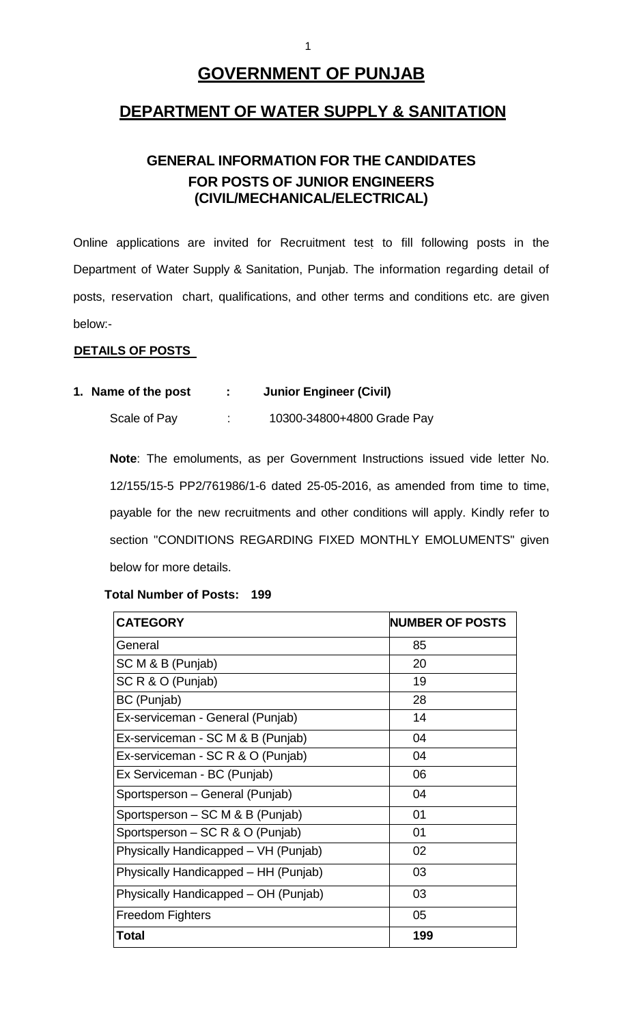# **GOVERNMENT OF PUNJAB**

# **DEPARTMENT OF WATER SUPPLY & SANITATION**

# **GENERAL INFORMATION FOR THE CANDIDATES FOR POSTS OF JUNIOR ENGINEERS (CIVIL/MECHANICAL/ELECTRICAL)**

Online applications are invited for Recruitment test to fill following posts in the Department of Water Supply & Sanitation, Punjab. The information regarding detail of posts, reservation chart, qualifications, and other terms and conditions etc. are given below:-

# **DETAILS OF POSTS**

# **1. Name of the post : Junior Engineer (Civil)**

Scale of Pay : 10300-34800+4800 Grade Pay

**Note**: The emoluments, as per Government Instructions issued vide letter No. 12/155/15-5 PP2/761986/1-6 dated 25-05-2016, as amended from time to time, payable for the new recruitments and other conditions will apply. Kindly refer to section "CONDITIONS REGARDING FIXED MONTHLY EMOLUMENTS" given below for more details.

# **Total Number of Posts: 199**

| <b>CATEGORY</b>                      | <b>NUMBER OF POSTS</b> |
|--------------------------------------|------------------------|
| General                              | 85                     |
| SC M & B (Punjab)                    | 20                     |
| SC R & O (Punjab)                    | 19                     |
| BC (Punjab)                          | 28                     |
| Ex-serviceman - General (Punjab)     | 14                     |
| Ex-serviceman - SC M & B (Punjab)    | 04                     |
| Ex-serviceman - SC R & O (Punjab)    | 04                     |
| Ex Serviceman - BC (Punjab)          | 06                     |
| Sportsperson - General (Punjab)      | 04                     |
| Sportsperson – SC M & B (Punjab)     | 01                     |
| Sportsperson - SC R & O (Punjab)     | 01                     |
| Physically Handicapped - VH (Punjab) | 02                     |
| Physically Handicapped – HH (Punjab) | 03                     |
| Physically Handicapped – OH (Punjab) | 03                     |
| <b>Freedom Fighters</b>              | 05                     |
| <b>Total</b>                         | 199                    |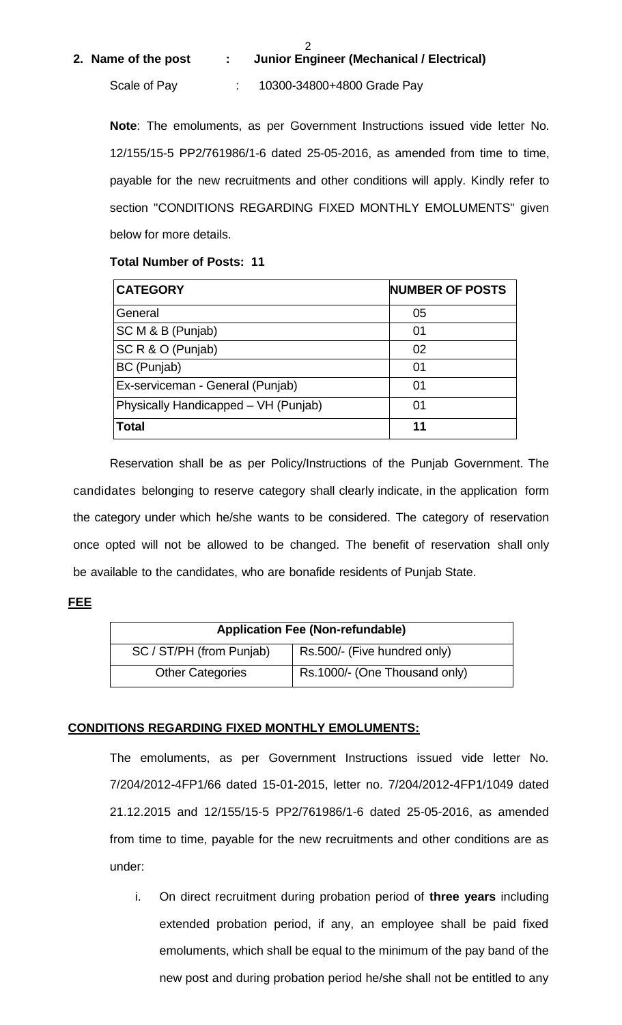## **2. Name of the post : Junior Engineer (Mechanical / Electrical)**

2

Scale of Pay : 10300-34800+4800 Grade Pay

**Note**: The emoluments, as per Government Instructions issued vide letter No. 12/155/15-5 PP2/761986/1-6 dated 25-05-2016, as amended from time to time, payable for the new recruitments and other conditions will apply. Kindly refer to section "CONDITIONS REGARDING FIXED MONTHLY EMOLUMENTS" given below for more details.

## **Total Number of Posts: 11**

| <b>CATEGORY</b>                      | <b>NUMBER OF POSTS</b> |
|--------------------------------------|------------------------|
| General                              | 05                     |
| SC M & B (Punjab)                    | 01                     |
| SC R & O (Punjab)                    | 02                     |
| BC (Punjab)                          | 01                     |
| Ex-serviceman - General (Punjab)     | 01                     |
| Physically Handicapped - VH (Punjab) | 01                     |
| <b>Total</b>                         | 11                     |

Reservation shall be as per Policy/Instructions of the Punjab Government. The candidates belonging to reserve category shall clearly indicate, in the application form the category under which he/she wants to be considered. The category of reservation once opted will not be allowed to be changed. The benefit of reservation shall only be available to the candidates, who are bonafide residents of Punjab State.

## **FEE**

| <b>Application Fee (Non-refundable)</b> |                               |  |  |
|-----------------------------------------|-------------------------------|--|--|
| SC / ST/PH (from Punjab)                | Rs.500/- (Five hundred only)  |  |  |
| <b>Other Categories</b>                 | Rs.1000/- (One Thousand only) |  |  |

# **CONDITIONS REGARDING FIXED MONTHLY EMOLUMENTS:**

The emoluments, as per Government Instructions issued vide letter No. 7/204/2012-4FP1/66 dated 15-01-2015, letter no. 7/204/2012-4FP1/1049 dated 21.12.2015 and 12/155/15-5 PP2/761986/1-6 dated 25-05-2016, as amended from time to time, payable for the new recruitments and other conditions are as under:

i. On direct recruitment during probation period of **three years** including extended probation period, if any, an employee shall be paid fixed emoluments, which shall be equal to the minimum of the pay band of the new post and during probation period he/she shall not be entitled to any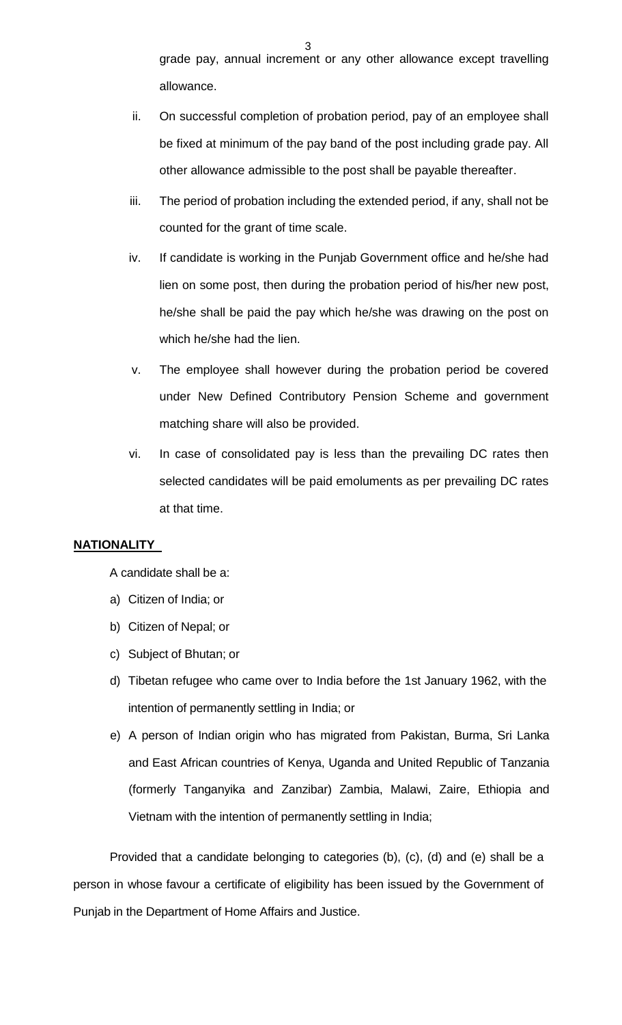grade pay, annual increment or any other allowance except travelling allowance.

- ii. On successful completion of probation period, pay of an employee shall be fixed at minimum of the pay band of the post including grade pay. All other allowance admissible to the post shall be payable thereafter.
- iii. The period of probation including the extended period, if any, shall not be counted for the grant of time scale.
- iv. If candidate is working in the Punjab Government office and he/she had lien on some post, then during the probation period of his/her new post, he/she shall be paid the pay which he/she was drawing on the post on which he/she had the lien.
- v. The employee shall however during the probation period be covered under New Defined Contributory Pension Scheme and government matching share will also be provided.
- vi. In case of consolidated pay is less than the prevailing DC rates then selected candidates will be paid emoluments as per prevailing DC rates at that time.

# **NATIONALITY**

A candidate shall be a:

- a) Citizen of India; or
- b) Citizen of Nepal; or
- c) Subject of Bhutan; or
- d) Tibetan refugee who came over to India before the 1st January 1962, with the intention of permanently settling in India; or
- e) A person of Indian origin who has migrated from Pakistan, Burma, Sri Lanka and East African countries of Kenya, Uganda and United Republic of Tanzania (formerly Tanganyika and Zanzibar) Zambia, Malawi, Zaire, Ethiopia and Vietnam with the intention of permanently settling in India;

Provided that a candidate belonging to categories (b), (c), (d) and (e) shall be a person in whose favour a certificate of eligibility has been issued by the Government of Punjab in the Department of Home Affairs and Justice.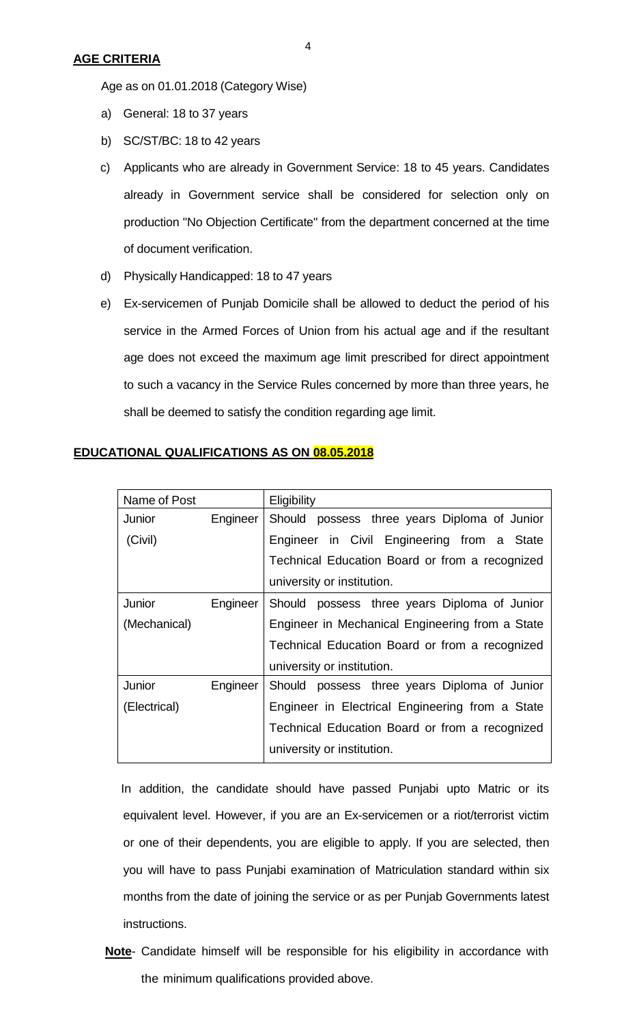4

Age as on 01.01.2018 (Category Wise)

- a) General: 18 to 37 years
- b) SC/ST/BC: 18 to 42 years
- c) Applicants who are already in Government Service: 18 to 45 years. Candidates already in Government service shall be considered for selection only on production "No Objection Certificate" from the department concerned at the time of document verification.
- d) Physically Handicapped: 18 to 47 years
- e) Ex-servicemen of Punjab Domicile shall be allowed to deduct the period of his service in the Armed Forces of Union from his actual age and if the resultant age does not exceed the maximum age limit prescribed for direct appointment to such a vacancy in the Service Rules concerned by more than three years, he shall be deemed to satisfy the condition regarding age limit.

| Name of Post |          | Eligibility                                     |  |  |
|--------------|----------|-------------------------------------------------|--|--|
| Junior       | Engineer | Should possess three years Diploma of Junior    |  |  |
| (Civil)      |          | Engineer in Civil Engineering from a State      |  |  |
|              |          | Technical Education Board or from a recognized  |  |  |
|              |          | university or institution.                      |  |  |
| Junior       | Engineer | Should possess three years Diploma of Junior    |  |  |
| (Mechanical) |          | Engineer in Mechanical Engineering from a State |  |  |
|              |          | Technical Education Board or from a recognized  |  |  |
|              |          | university or institution.                      |  |  |
| Junior       | Engineer | Should possess three years Diploma of Junior    |  |  |
| (Electrical) |          | Engineer in Electrical Engineering from a State |  |  |
|              |          | Technical Education Board or from a recognized  |  |  |
|              |          | university or institution.                      |  |  |

# **EDUCATIONAL QUALIFICATIONS AS ON 08.05.2018**

 In addition, the candidate should have passed Punjabi upto Matric or its equivalent level. However, if you are an Ex-servicemen or a riot/terrorist victim or one of their dependents, you are eligible to apply. If you are selected, then you will have to pass Punjabi examination of Matriculation standard within six months from the date of joining the service or as per Punjab Governments latest instructions.

**Note**- Candidate himself will be responsible for his eligibility in accordance with the minimum qualifications provided above.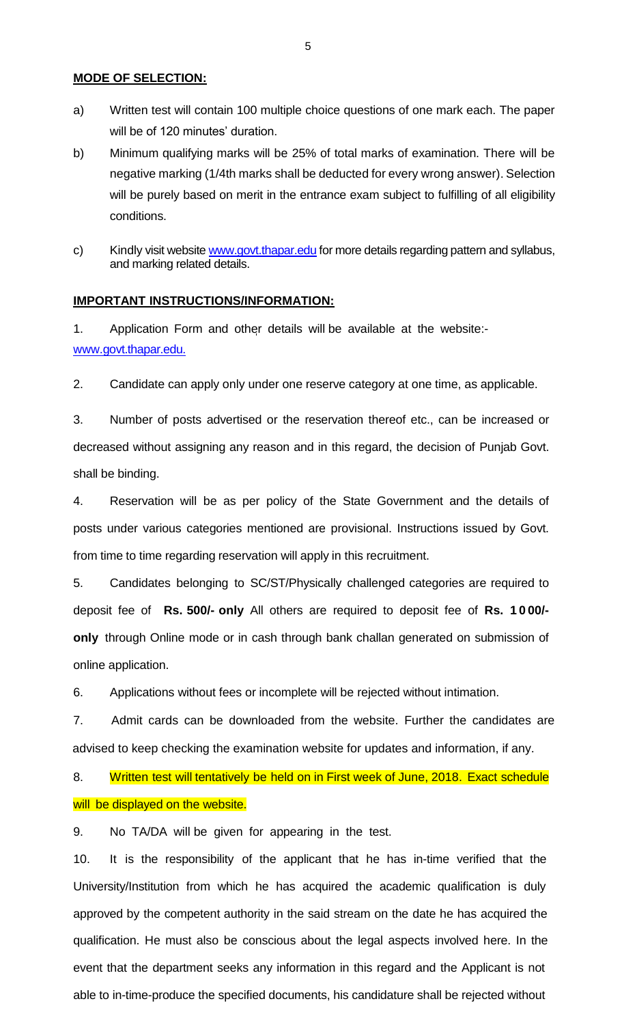#### **MODE OF SELECTION:**

- a) Written test will contain 100 multiple choice questions of one mark each. The paper will be of 120 minutes' duration.
- b) Minimum qualifying marks will be 25% of total marks of examination. There will be negative marking (1/4th marks shall be deducted for every wrong answer). Selection will be purely based on merit in the entrance exam subject to fulfilling of all eligibility conditions.
- c) Kindly visit website [www.govt.thapar.edu](http://www.govt.thapar.edu/) for more details regarding pattern and syllabus, and marking related details.

#### **IMPORTANT INSTRUCTIONS/INFORMATION:**

1. Application Form and other details will be available at the website: www[.govt.thapar.edu.](http://www.govt.thapar.edu/)

2. Candidate can apply only under one reserve category at one time, as applicable.

3. Number of posts advertised or the reservation thereof etc., can be increased or decreased without assigning any reason and in this regard, the decision of Punjab Govt. shall be binding.

4. Reservation will be as per policy of the State Government and the details of posts under various categories mentioned are provisional. Instructions issued by Govt. from time to time regarding reservation will apply in this recruitment.

5. Candidates belonging to SC/ST/Physically challenged categories are required to deposit fee of **Rs. 500/- only** All others are required to deposit fee of **Rs. 1 0 00/ only** through Online mode or in cash through bank challan generated on submission of online application.

6. Applications without fees or incomplete will be rejected without intimation.

7. Admit cards can be downloaded from the website. Further the candidates are advised to keep checking the examination website for updates and information, if any.

8. Written test will tentatively be held on in First week of June, 2018. Exact schedule will be displayed on the website.

9. No TA/DA will be given for appearing in the test.

10. It is the responsibility of the applicant that he has in-time verified that the University/Institution from which he has acquired the academic qualification is duly approved by the competent authority in the said stream on the date he has acquired the qualification. He must also be conscious about the legal aspects involved here. In the event that the department seeks any information in this regard and the Applicant is not able to in-time-produce the specified documents, his candidature shall be rejected without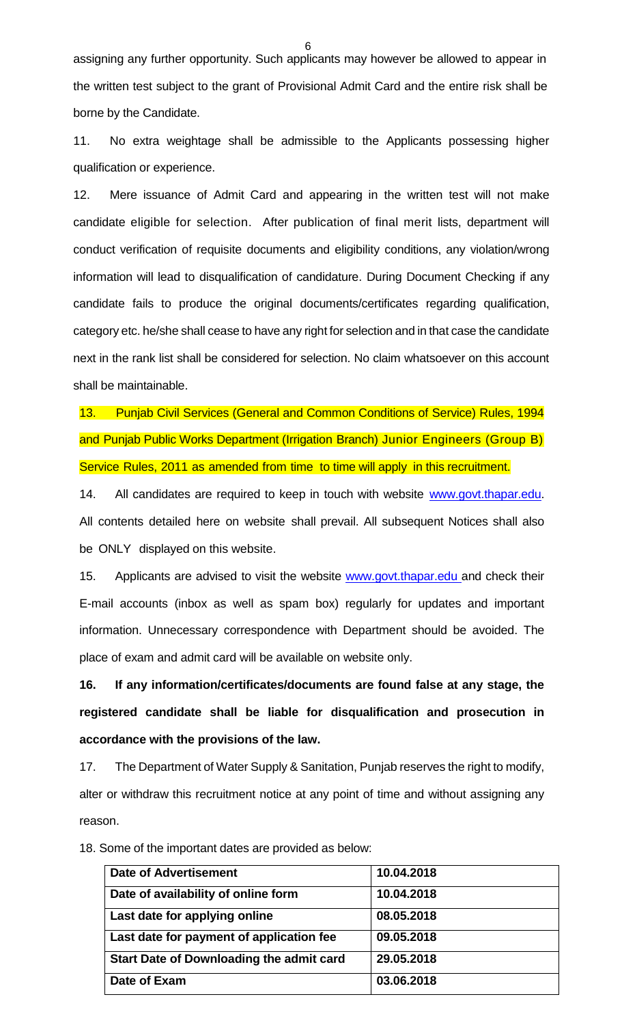assigning any further opportunity. Such applicants may however be allowed to appear in the written test subject to the grant of Provisional Admit Card and the entire risk shall be borne by the Candidate.

6

11. No extra weightage shall be admissible to the Applicants possessing higher qualification or experience.

12. Mere issuance of Admit Card and appearing in the written test will not make candidate eligible for selection. After publication of final merit lists, department will conduct verification of requisite documents and eligibility conditions, any violation/wrong information will lead to disqualification of candidature. During Document Checking if any candidate fails to produce the original documents/certificates regarding qualification, category etc. he/she shall cease to have any right for selection and in that case the candidate next in the rank list shall be considered for selection. No claim whatsoever on this account shall be maintainable.

13. Punjab Civil Services (General and Common Conditions of Service) Rules, 1994 and Punjab Public Works Department (Irrigation Branch) Junior Engineers (Group B) Service Rules, 2011 as amended from time to time will apply in this recruitment.

14. All candidates are required to keep in touch with website [www.govt.thapar.edu.](http://www.govt.thapar.edu/) All contents detailed here on website [s](http://www.pbirrigation.gov.in/)hall prevail. All subsequent Notices shall also be ONLY displayed on this website.

15. Applicants are advised to visit the website [www.govt.thapar.edu](http://govt.thapar.edu/) and check their E-mail accounts (inbox as well as spam box) regularly for updates and important information. Unnecessary correspondence with Department should be avoided. The place of exam and admit card will be available on website only.

**16. If any information/certificates/documents are found false at any stage, the registered candidate shall be liable for disqualification and prosecution in accordance with the provisions of the law.** 

17. The Department of Water Supply & Sanitation, Punjab reserves the right to modify, alter or withdraw this recruitment notice at any point of time and without assigning any reason.

**Date of Advertisement 10.04.2018** Date of availability of online form 10.04.2018 Last date for applying online **198.05.2018 Last date for payment of application fee 09.05.2018 Start Date of Downloading the admit card 29.05.2018 Date of Exam 03.06.2018**

18. Some of the important dates are provided as below: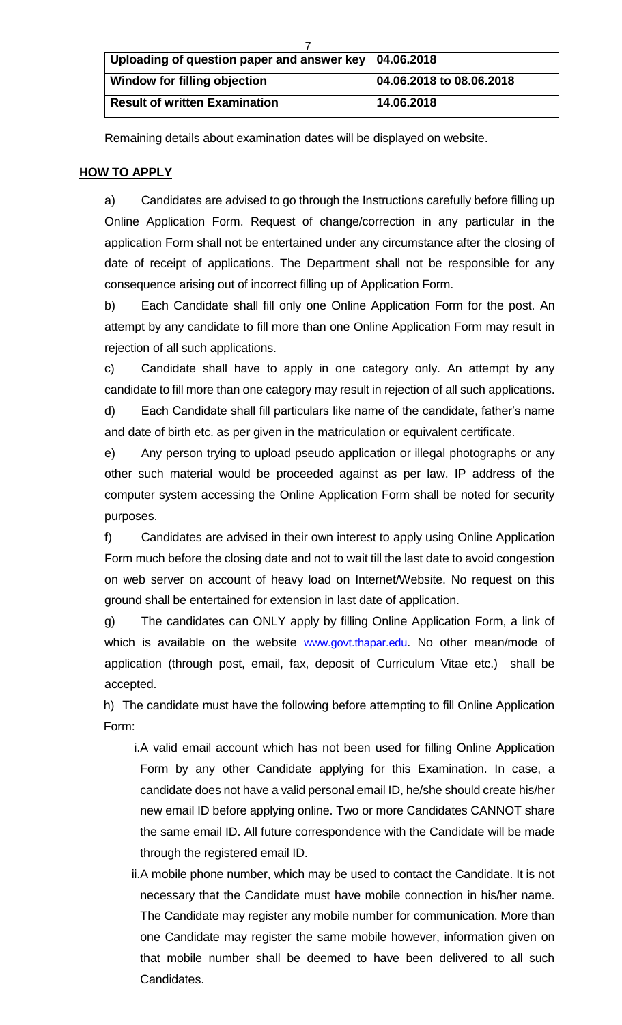| Uploading of question paper and answer key   04.06.2018 |                          |  |
|---------------------------------------------------------|--------------------------|--|
| Window for filling objection                            | 04.06.2018 to 08.06.2018 |  |
| <b>Result of written Examination</b>                    | 14.06.2018               |  |

Remaining details about examination dates will be displayed on website.

# **HOW TO APPLY**

a) Candidates are advised to go through the Instructions carefully before filling up Online Application Form. Request of change/correction in any particular in the application Form shall not be entertained under any circumstance after the closing of date of receipt of applications. The Department shall not be responsible for any consequence arising out of incorrect filling up of Application Form.

b) Each Candidate shall fill only one Online Application Form for the post. An attempt by any candidate to fill more than one Online Application Form may result in rejection of all such applications.

c) Candidate shall have to apply in one category only. An attempt by any candidate to fill more than one category may result in rejection of all such applications.

d) Each Candidate shall fill particulars like name of the candidate, father's name and date of birth etc. as per given in the matriculation or equivalent certificate.

e) Any person trying to upload pseudo application or illegal photographs or any other such material would be proceeded against as per law. IP address of the computer system accessing the Online Application Form shall be noted for security purposes.

f) Candidates are advised in their own interest to apply using Online Application Form much before the closing date and not to wait till the last date to avoid congestion on web server on account of heavy load on Internet/Website. No request on this ground shall be entertained for extension in last date of application.

g) The candidates can ONLY apply by filling Online Application Form, a link of which is available on the website [www.govt.thapar.edu](http://www.govt.thapar.edu/). No other mean/mode of application (through post, email, fax, deposit of Curriculum Vitae etc.) shall be accepted.

h) The candidate must have the following before attempting to fill Online Application Form:

- i.A valid email account which has not been used for filling Online Application Form by any other Candidate applying for this Examination. In case, a candidate does not have a valid personal email ID, he/she should create his/her new email ID before applying online. Two or more Candidates CANNOT share the same email ID. All future correspondence with the Candidate will be made through the registered email ID.
- ii.A mobile phone number, which may be used to contact the Candidate. It is not necessary that the Candidate must have mobile connection in his/her name. The Candidate may register any mobile number for communication. More than one Candidate may register the same mobile however, information given on that mobile number shall be deemed to have been delivered to all such Candidates.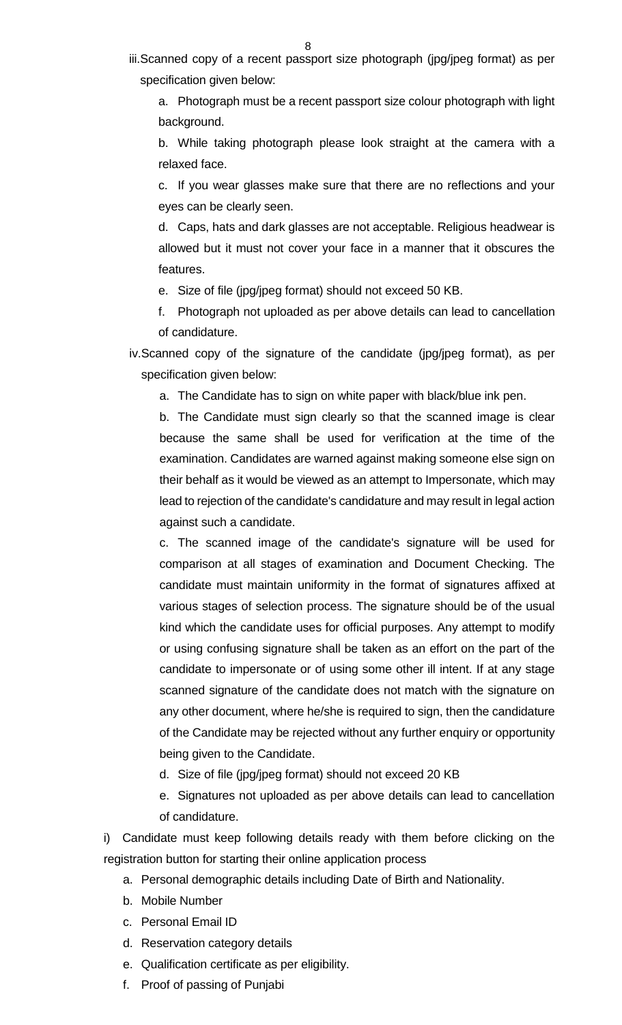iii.Scanned copy of a recent passport size photograph (jpg/jpeg format) as per specification given below:

a. Photograph must be a recent passport size colour photograph with light background.

b. While taking photograph please look straight at the camera with a relaxed face.

c. If you wear glasses make sure that there are no reflections and your eyes can be clearly seen.

d. Caps, hats and dark glasses are not acceptable. Religious headwear is allowed but it must not cover your face in a manner that it obscures the features.

e. Size of file (jpg/jpeg format) should not exceed 50 KB.

f. Photograph not uploaded as per above details can lead to cancellation of candidature.

iv.Scanned copy of the signature of the candidate (jpg/jpeg format), as per specification given below:

a. The Candidate has to sign on white paper with black/blue ink pen.

b. The Candidate must sign clearly so that the scanned image is clear because the same shall be used for verification at the time of the examination. Candidates are warned against making someone else sign on their behalf as it would be viewed as an attempt to Impersonate, which may lead to rejection of the candidate's candidature and may result in legal action against such a candidate.

c. The scanned image of the candidate's signature will be used for comparison at all stages of examination and Document Checking. The candidate must maintain uniformity in the format of signatures affixed at various stages of selection process. The signature should be of the usual kind which the candidate uses for official purposes. Any attempt to modify or using confusing signature shall be taken as an effort on the part of the candidate to impersonate or of using some other ill intent. If at any stage scanned signature of the candidate does not match with the signature on any other document, where he/she is required to sign, then the candidature of the Candidate may be rejected without any further enquiry or opportunity being given to the Candidate.

- d. Size of file (jpg/jpeg format) should not exceed 20 KB
- e. Signatures not uploaded as per above details can lead to cancellation of candidature.

i) Candidate must keep following details ready with them before clicking on the registration button for starting their online application process

- a. Personal demographic details including Date of Birth and Nationality.
- b. Mobile Number
- c. Personal Email ID
- d. Reservation category details
- e. Qualification certificate as per eligibility.
- f. Proof of passing of Punjabi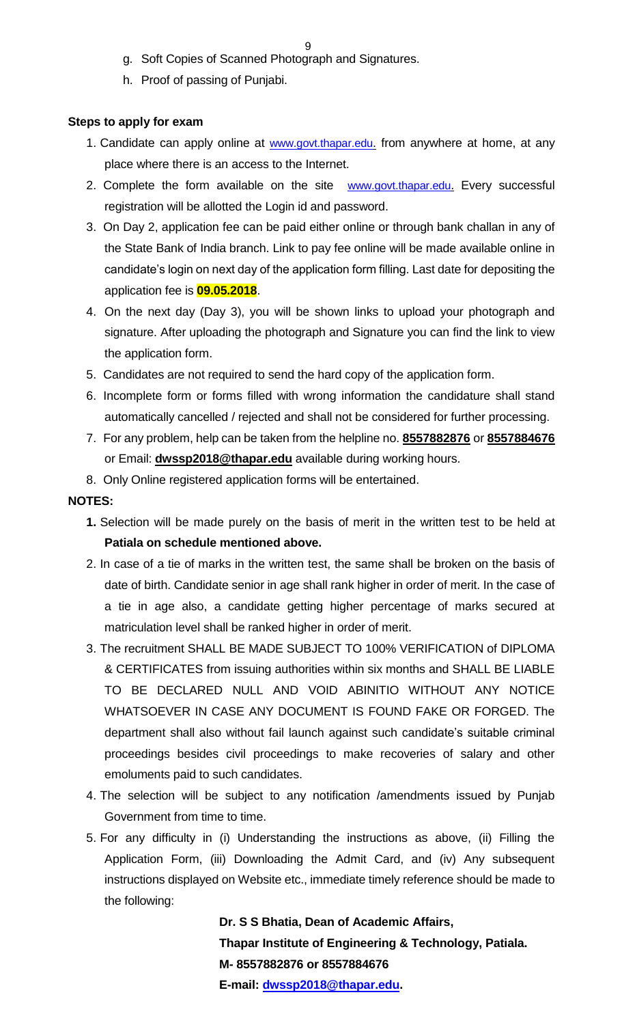- g. Soft Copies of Scanned Photograph and Signatures.
- h. Proof of passing of Punjabi.

## **Steps to apply for exam**

- 1. Candidate can apply online at [www.govt.thapar.edu](http://www.govt.thapar.edu/). from anywhere at home, at any place where there is an access to the Internet.
- 2. Complete the form available on the site [www.govt.thapar.edu](http://www.govt.thapar.edu/). Every successful registration will be allotted the Login id and password.
- 3. On Day 2, application fee can be paid either online or through bank challan in any of the State Bank of India branch. Link to pay fee online will be made available online in candidate's login on next day of the application form filling. Last date for depositing the application fee is **09.05.2018**.
- 4. On the next day (Day 3), you will be shown links to upload your photograph and signature. After uploading the photograph and Signature you can find the link to view the application form.
- 5. Candidates are not required to send the hard copy of the application form.
- 6. Incomplete form or forms filled with wrong information the candidature shall stand automatically cancelled / rejected and shall not be considered for further processing.
- 7. For any problem, help can be taken from the helpline no. **8557882876** or **8557884676** or Email: **dwssp2018@thapar.edu** available during working hours.
- 8. Only Online registered application forms will be entertained.

## **NOTES:**

- **1.** Selection will be made purely on the basis of merit in the written test to be held at **Patiala on schedule mentioned above.**
- 2. In case of a tie of marks in the written test, the same shall be broken on the basis of date of birth. Candidate senior in age shall rank higher in order of merit. In the case of a tie in age also, a candidate getting higher percentage of marks secured at matriculation level shall be ranked higher in order of merit.
- 3. The recruitment SHALL BE MADE SUBJECT TO 100% VERIFICATION of DIPLOMA & CERTIFICATES from issuing authorities within six months and SHALL BE LIABLE TO BE DECLARED NULL AND VOID ABINITIO WITHOUT ANY NOTICE WHATSOEVER IN CASE ANY DOCUMENT IS FOUND FAKE OR FORGED. The department shall also without fail launch against such candidate's suitable criminal proceedings besides civil proceedings to make recoveries of salary and other emoluments paid to such candidates.
- 4. The selection will be subject to any notification /amendments issued by Punjab Government from time to time.
- 5. For any difficulty in (i) Understanding the instructions as above, (ii) Filling the Application Form, (iii) Downloading the Admit Card, and (iv) Any subsequent instructions displayed on Website etc., immediate timely reference should be made to the following:

**Dr. S S Bhatia, Dean of Academic Affairs, Thapar Institute of Engineering & Technology, Patiala. M- 8557882876 or 8557884676 E-mail: [dwssp2018@thapar.edu.](mailto:dwssp2018@thapar.edu)**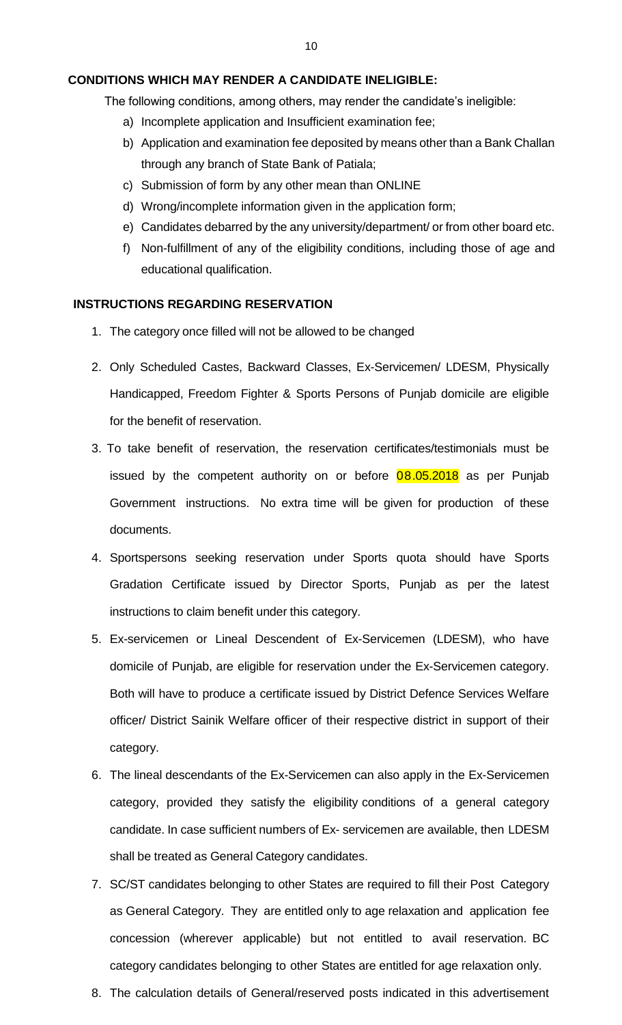## **CONDITIONS WHICH MAY RENDER A CANDIDATE INELIGIBLE:**

The following conditions, among others, may render the candidate's ineligible:

- a) Incomplete application and Insufficient examination fee;
- b) Application and examination fee deposited by means other than a Bank Challan through any branch of State Bank of Patiala;
- c) Submission of form by any other mean than ONLINE
- d) Wrong/incomplete information given in the application form;
- e) Candidates debarred by the any university/department/ or from other board etc.
- f) Non-fulfillment of any of the eligibility conditions, including those of age and educational qualification.

## **INSTRUCTIONS REGARDING RESERVATION**

- 1. The category once filled will not be allowed to be changed
- 2. Only Scheduled Castes, Backward Classes, Ex-Servicemen/ LDESM, Physically Handicapped, Freedom Fighter & Sports Persons of Punjab domicile are eligible for the benefit of reservation.
- 3. To take benefit of reservation, the reservation certificates/testimonials must be issued by the competent authority on or before  $08.05.2018$  as per Punjab Government instructions. No extra time will be given for production of these documents.
- 4. Sportspersons seeking reservation under Sports quota should have Sports Gradation Certificate issued by Director Sports, Punjab as per the latest instructions to claim benefit under this category.
- 5. Ex-servicemen or Lineal Descendent of Ex-Servicemen (LDESM), who have domicile of Punjab, are eligible for reservation under the Ex-Servicemen category. Both will have to produce a certificate issued by District Defence Services Welfare officer/ District Sainik Welfare officer of their respective district in support of their category.
- 6. The lineal descendants of the Ex-Servicemen can also apply in the Ex-Servicemen category, provided they satisfy the eligibility conditions of a general category candidate. In case sufficient numbers of Ex- servicemen are available, then LDESM shall be treated as General Category candidates.
- 7. SC/ST candidates belonging to other States are required to fill their Post Category as General Category. They are entitled only to age relaxation and application fee concession (wherever applicable) but not entitled to avail reservation. BC category candidates belonging to other States are entitled for age relaxation only.
- 8. The calculation details of General/reserved posts indicated in this advertisement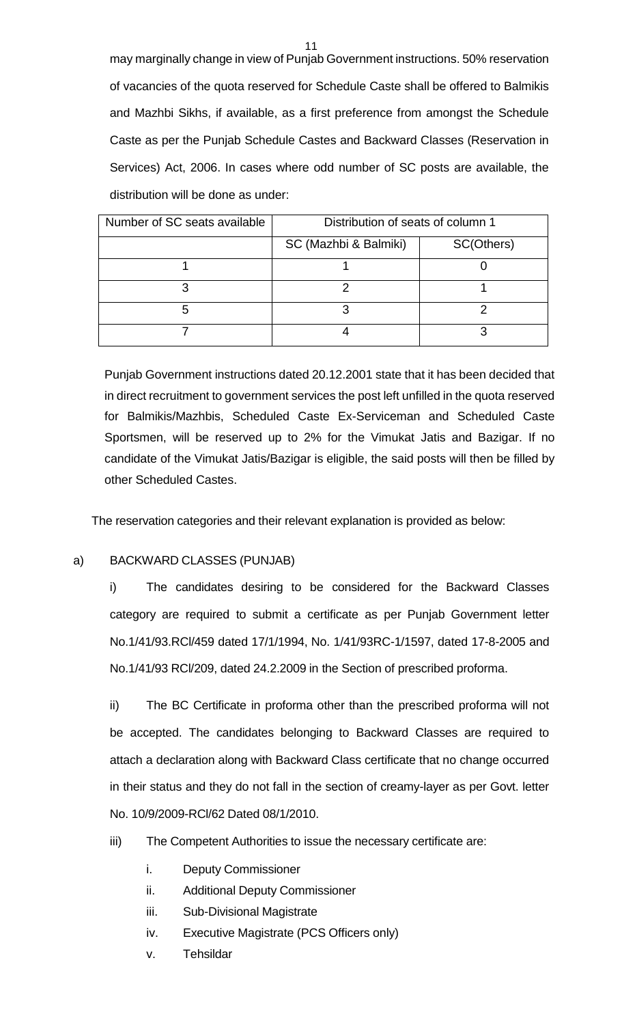may marginally change in view of Punjab Government instructions. 50% reservation of vacancies of the quota reserved for Schedule Caste shall be offered to Balmikis and Mazhbi Sikhs, if available, as a first preference from amongst the Schedule Caste as per the Punjab Schedule Castes and Backward Classes (Reservation in Services) Act, 2006. In cases where odd number of SC posts are available, the distribution will be done as under:

| Number of SC seats available | Distribution of seats of column 1 |            |
|------------------------------|-----------------------------------|------------|
|                              | SC (Mazhbi & Balmiki)             | SC(Others) |
|                              |                                   |            |
|                              |                                   |            |
|                              |                                   |            |
|                              |                                   |            |

Punjab Government instructions dated 20.12.2001 state that it has been decided that in direct recruitment to government services the post left unfilled in the quota reserved for Balmikis/Mazhbis, Scheduled Caste Ex-Serviceman and Scheduled Caste Sportsmen, will be reserved up to 2% for the Vimukat Jatis and Bazigar. If no candidate of the Vimukat Jatis/Bazigar is eligible, the said posts will then be filled by other Scheduled Castes.

The reservation categories and their relevant explanation is provided as below:

## a) BACKWARD CLASSES (PUNJAB)

i) The candidates desiring to be considered for the Backward Classes category are required to submit a certificate as per Punjab Government letter No.1/41/93.RCl/459 dated 17/1/1994, No. 1/41/93RC-1/1597, dated 17-8-2005 and No.1/41/93 RCl/209, dated 24.2.2009 in the Section of prescribed proforma.

ii) The BC Certificate in proforma other than the prescribed proforma will not be accepted. The candidates belonging to Backward Classes are required to attach a declaration along with Backward Class certificate that no change occurred in their status and they do not fall in the section of creamy-layer as per Govt. letter No. 10/9/2009-RCl/62 Dated 08/1/2010.

- iii) The Competent Authorities to issue the necessary certificate are:
	- i. Deputy Commissioner
	- ii. Additional Deputy Commissioner
	- iii. Sub-Divisional Magistrate
	- iv. Executive Magistrate (PCS Officers only)
	- v. Tehsildar

11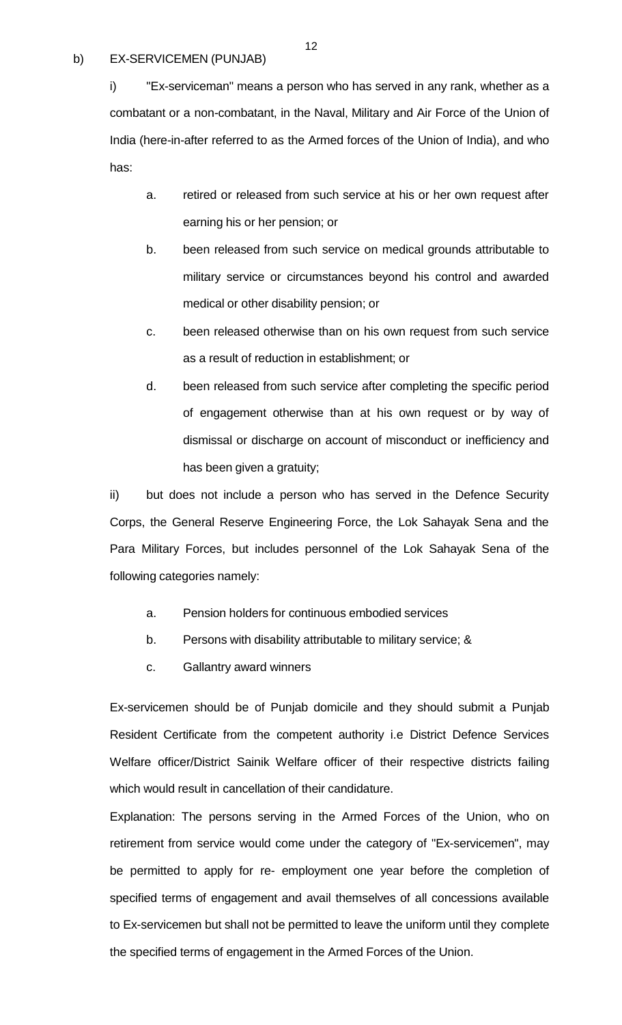## b) EX-SERVICEMEN (PUNJAB)

i) "Ex-serviceman" means a person who has served in any rank, whether as a combatant or a non-combatant, in the Naval, Military and Air Force of the Union of India (here-in-after referred to as the Armed forces of the Union of India), and who has:

- a. retired or released from such service at his or her own request after earning his or her pension; or
- b. been released from such service on medical grounds attributable to military service or circumstances beyond his control and awarded medical or other disability pension; or
- c. been released otherwise than on his own request from such service as a result of reduction in establishment; or
- d. been released from such service after completing the specific period of engagement otherwise than at his own request or by way of dismissal or discharge on account of misconduct or inefficiency and has been given a gratuity;

ii) but does not include a person who has served in the Defence Security Corps, the General Reserve Engineering Force, the Lok Sahayak Sena and the Para Military Forces, but includes personnel of the Lok Sahayak Sena of the following categories namely:

- a. Pension holders for continuous embodied services
- b. Persons with disability attributable to military service; &
- c. Gallantry award winners

Ex-servicemen should be of Punjab domicile and they should submit a Punjab Resident Certificate from the competent authority i.e District Defence Services Welfare officer/District Sainik Welfare officer of their respective districts failing which would result in cancellation of their candidature.

Explanation: The persons serving in the Armed Forces of the Union, who on retirement from service would come under the category of "Ex-servicemen", may be permitted to apply for re- employment one year before the completion of specified terms of engagement and avail themselves of all concessions available to Ex-servicemen but shall not be permitted to leave the uniform until they complete the specified terms of engagement in the Armed Forces of the Union.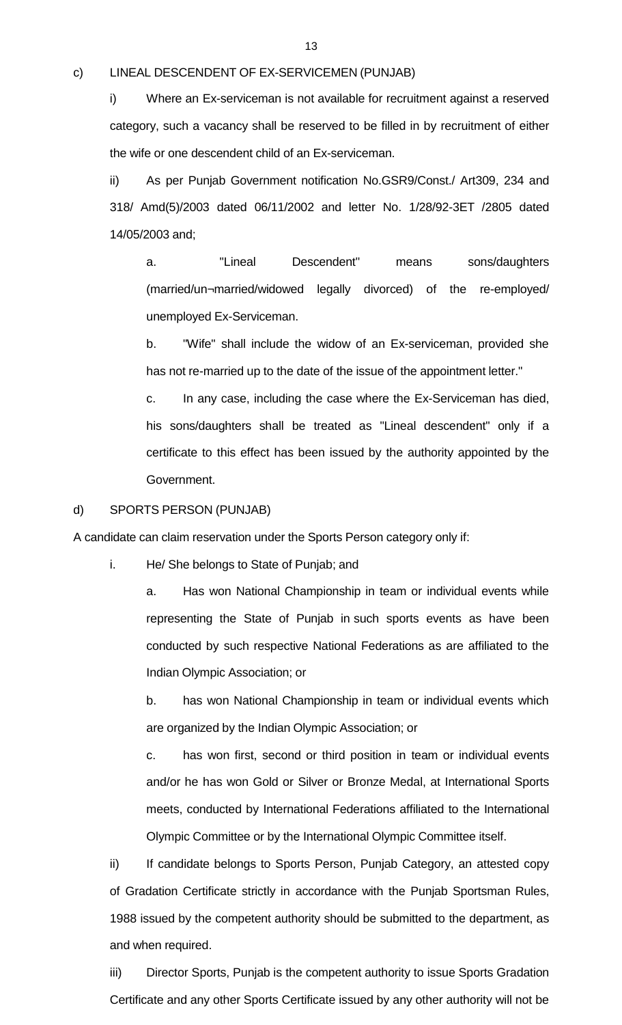#### c) LINEAL DESCENDENT OF EX-SERVICEMEN (PUNJAB)

i) Where an Ex-serviceman is not available for recruitment against a reserved category, such a vacancy shall be reserved to be filled in by recruitment of either the wife or one descendent child of an Ex-serviceman.

ii) As per Punjab Government notification No.GSR9/Const./ Art309, 234 and 318/ Amd(5)/2003 dated 06/11/2002 and letter No. 1/28/92-3ET /2805 dated 14/05/2003 and;

a. "Lineal Descendent" means sons/daughters (married/un¬married/widowed legally divorced) of the re-employed/ unemployed Ex-Serviceman.

b. "Wife" shall include the widow of an Ex-serviceman, provided she has not re-married up to the date of the issue of the appointment letter."

c. In any case, including the case where the Ex-Serviceman has died, his sons/daughters shall be treated as "Lineal descendent" only if a certificate to this effect has been issued by the authority appointed by the Government.

d) SPORTS PERSON (PUNJAB)

A candidate can claim reservation under the Sports Person category only if:

i. He/ She belongs to State of Punjab; and

a. Has won National Championship in team or individual events while representing the State of Punjab in such sports events as have been conducted by such respective National Federations as are affiliated to the Indian Olympic Association; or

b. has won National Championship in team or individual events which are organized by the Indian Olympic Association; or

c. has won first, second or third position in team or individual events and/or he has won Gold or Silver or Bronze Medal, at International Sports meets, conducted by International Federations affiliated to the International Olympic Committee or by the International Olympic Committee itself.

ii) If candidate belongs to Sports Person, Punjab Category, an attested copy of Gradation Certificate strictly in accordance with the Punjab Sportsman Rules, 1988 issued by the competent authority should be submitted to the department, as and when required.

iii) Director Sports, Punjab is the competent authority to issue Sports Gradation Certificate and any other Sports Certificate issued by any other authority will not be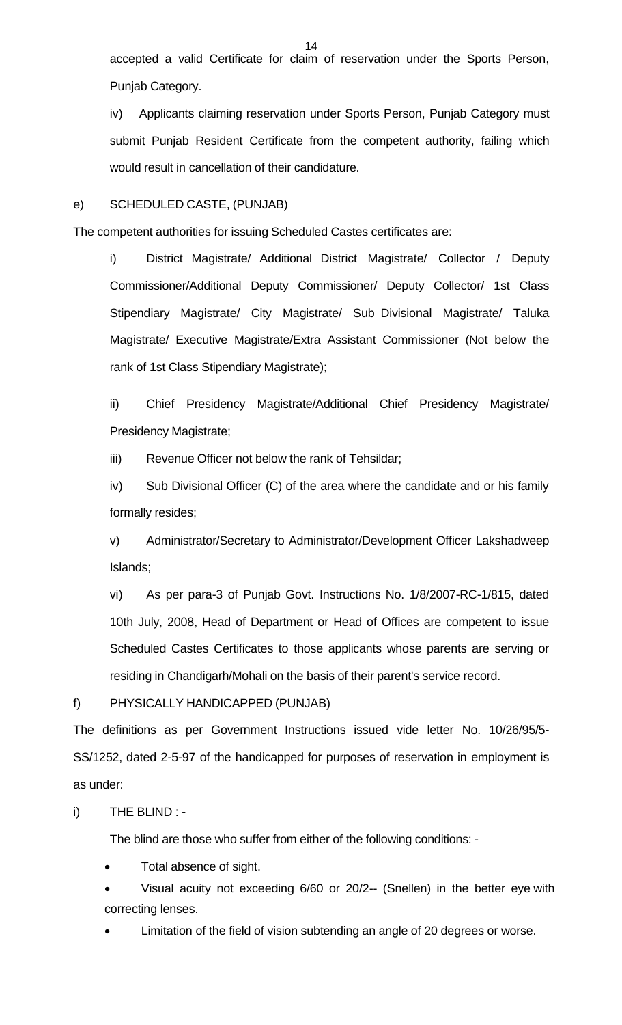accepted a valid Certificate for claim of reservation under the Sports Person, Punjab Category.

iv) Applicants claiming reservation under Sports Person, Punjab Category must submit Punjab Resident Certificate from the competent authority, failing which would result in cancellation of their candidature.

## e) SCHEDULED CASTE, (PUNJAB)

The competent authorities for issuing Scheduled Castes certificates are:

i) District Magistrate/ Additional District Magistrate/ Collector / Deputy Commissioner/Additional Deputy Commissioner/ Deputy Collector/ 1st Class Stipendiary Magistrate/ City Magistrate/ Sub Divisional Magistrate/ Taluka Magistrate/ Executive Magistrate/Extra Assistant Commissioner (Not below the rank of 1st Class Stipendiary Magistrate);

ii) Chief Presidency Magistrate/Additional Chief Presidency Magistrate/ Presidency Magistrate;

iii) Revenue Officer not below the rank of Tehsildar;

iv) Sub Divisional Officer (C) of the area where the candidate and or his family formally resides;

v) Administrator/Secretary to Administrator/Development Officer Lakshadweep Islands;

vi) As per para-3 of Punjab Govt. Instructions No. 1/8/2007-RC-1/815, dated 10th July, 2008, Head of Department or Head of Offices are competent to issue Scheduled Castes Certificates to those applicants whose parents are serving or residing in Chandigarh/Mohali on the basis of their parent's service record.

f) PHYSICALLY HANDICAPPED (PUNJAB)

The definitions as per Government Instructions issued vide letter No. 10/26/95/5- SS/1252, dated 2-5-97 of the handicapped for purposes of reservation in employment is as under:

i) THE BLIND : -

The blind are those who suffer from either of the following conditions: -

Total absence of sight.

 Visual acuity not exceeding 6/60 or 20/2-- (Snellen) in the better eye with correcting lenses.

Limitation of the field of vision subtending an angle of 20 degrees or worse.